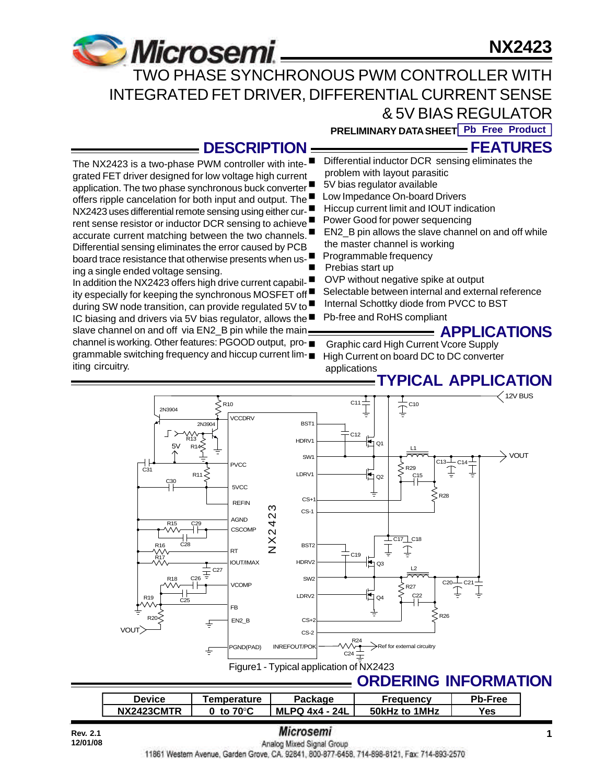# **NX2423**



The NX2423 is a two-phase PWM controller with integrated FET driver designed for low voltage high current application. The two phase synchronous buck converter offers ripple cancelation for both input and output. The NX2423 uses differential remote sensing using either current sense resistor or inductor DCR sensing to achieve ■ accurate current matching between the two channels. Differential sensing eliminates the error caused by PCB board trace resistance that otherwise presents when us-

In addition the NX2423 offers high drive current capability especially for keeping the synchronous MOSFET off during SW node transition, can provide regulated 5V to IC biasing and drivers via 5V bias regulator, allows the  $\blacksquare$ slave channel on and off via EN2 B pin while the main channel is working. Other features: PGOOD output, programmable switching frequency and hiccup current lim-

ing a single ended voltage sensing.

iting circuitry.

 TWO PHASE SYNCHRONOUS PWM CONTROLLER WITH INTEGRATED FET DRIVER, DIFFERENTIAL CURRENT SENSE & 5V BIAS REGULATOR

**PRELIMINARY DATA SHEET Pb Free Product**

## **DESCRIPTION**

Differential inductor DCR sensing eliminates the problem with layout parasitic **FEATURES**

- 5V bias regulator available
- Low Impedance On-board Drivers
- Hiccup current limit and IOUT indication
- Power Good for power sequencing
- EN2 B pin allows the slave channel on and off while the master channel is working
- Programmable frequency
- Prebias start up
- OVP without negative spike at output
- Selectable between internal and external reference
	- Internal Schottky diode from PVCC to BST
	- Pb-free and RoHS compliant

## **APPLICATIONS**

n Graphic card High Current Vcore Supply High Current on board DC to DC converter applications

## **TYPICAL APPLICATION**



| <b>Device</b> | <b>Temperature</b> | <sup>7</sup> ackage   |                     | b-Free |
|---------------|--------------------|-----------------------|---------------------|--------|
| NX2423CMTR    | 70°C<br>to         | 24L<br>MLPQ $4x4 - x$ | $1$ MHz<br>50kHz to | Yes.   |

**12/01/08**

# **Rev. 2.1 1**

11861 Western Avenue, Garden Grove, CA. 92841, 800-877-6458, 714-898-8121, Fax: 714-893-2570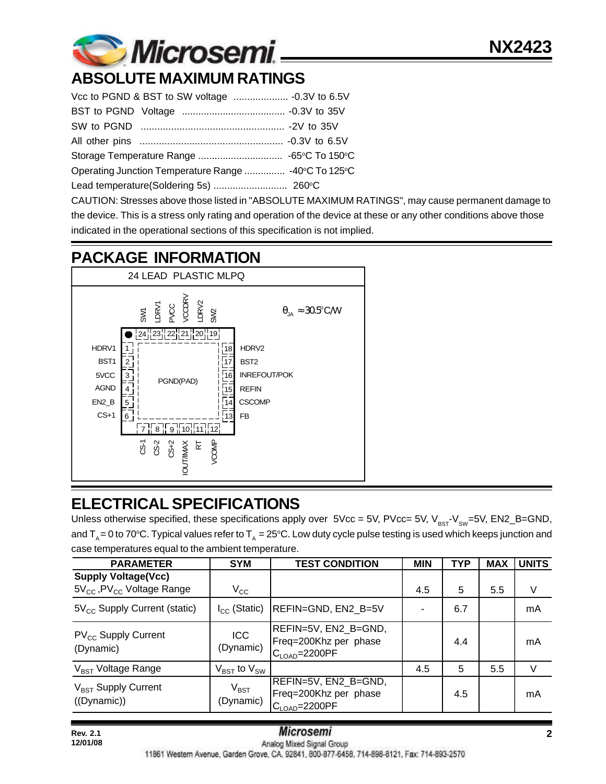# **ABSOLUTE MAXIMUM RATINGS**

| Operating Junction Temperature Range  -40°C To 125°C |  |  |  |  |
|------------------------------------------------------|--|--|--|--|
|                                                      |  |  |  |  |

CAUTION: Stresses above those listed in "ABSOLUTE MAXIMUM RATINGS", may cause permanent damage to the device. This is a stress only rating and operation of the device at these or any other conditions above those indicated in the operational sections of this specification is not implied.

# **PACKAGE INFORMATION**



# **ELECTRICAL SPECIFICATIONS**

Unless otherwise specified, these specifications apply over  $5Vec = 5V$ ,  $PVec = 5V$ ,  $V_{BST}V_{SW}=5V$ ,  $EN2_B=GND$ , and  $T_a = 0$  to 70°C. Typical values refer to  $T_a = 25$ °C. Low duty cycle pulse testing is used which keeps junction and case temperatures equal to the ambient temperature.

| <b>PARAMETER</b>                                                         | <b>SYM</b>                          | <b>TEST CONDITION</b>                                                        | <b>MIN</b> | <b>TYP</b> | <b>MAX</b> | <b>UNITS</b> |
|--------------------------------------------------------------------------|-------------------------------------|------------------------------------------------------------------------------|------------|------------|------------|--------------|
| <b>Supply Voltage(Vcc)</b><br>$5V_{CC}$ , PV <sub>CC</sub> Voltage Range | $V_{\rm CC}$                        |                                                                              | 4.5        | 5          | 5.5        | V            |
| $5V_{CC}$ Supply Current (static)                                        | $I_{CC}$ (Static)                   | REFIN=GND, EN2_B=5V                                                          |            | 6.7        |            | mA           |
| $PV_{CC}$ Supply Current<br>(Dynamic)                                    | <b>ICC</b><br>(Dynamic)             | REFIN=5V, EN2_B=GND,<br>Freq=200Khz per phase<br>$C_{\text{LOAD}} = 2200$ PF |            | 4.4        |            | mA           |
| V <sub>BST</sub> Voltage Range                                           | $V_{\text{BST}}$ to $V_{\text{SW}}$ |                                                                              | 4.5        | 5          | 5.5        | V            |
| $V_{\text{BST}}$ Supply Current<br>((Dynamic))                           | $V_{\text{BST}}$<br>(Dynamic)       | REFIN=5V, EN2 B=GND,<br>Freq=200Khz per phase<br>$C_{\text{LOAD}} = 2200$ PF |            | 4.5        |            | mA           |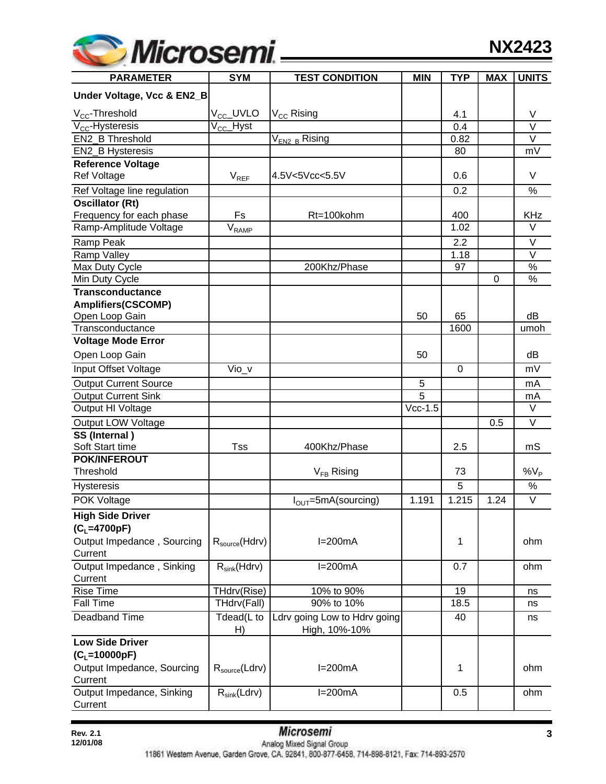

| <b>PARAMETER</b>                      | <b>SYM</b>                   | <b>TEST CONDITION</b>           | <b>MIN</b> | <b>TYP</b>     | <b>MAX</b> | <b>UNITS</b> |
|---------------------------------------|------------------------------|---------------------------------|------------|----------------|------------|--------------|
| Under Voltage, Vcc & EN2_B            |                              |                                 |            |                |            |              |
| V <sub>CC</sub> -Threshold            | V <sub>CC</sub> _UVLO        | $\rm V_{\rm CC}$ Rising         |            | 4.1            |            | V            |
| $V_{CC}$ -Hysteresis                  | V <sub>CC</sub> _Hyst        |                                 |            | 0.4            |            | $\vee$       |
| EN2 B Threshold                       |                              | $\rm V_{EN2\_B}$ Rising         |            | 0.82           |            | V            |
| EN2_B Hysteresis                      |                              |                                 |            | 80             |            | mV           |
| <b>Reference Voltage</b>              |                              |                                 |            |                |            |              |
| <b>Ref Voltage</b>                    | $V_{REF}$                    | 4.5V<5Vcc<5.5V                  |            | 0.6            |            | V            |
| Ref Voltage line regulation           |                              |                                 |            | 0.2            |            | $\%$         |
| <b>Oscillator (Rt)</b>                |                              |                                 |            |                |            |              |
| Frequency for each phase              | Fs                           | Rt=100kohm                      |            | 400            |            | <b>KHz</b>   |
| Ramp-Amplitude Voltage                | $\mathsf{V}_{\mathsf{RAMP}}$ |                                 |            | 1.02           |            | $\vee$       |
| Ramp Peak                             |                              |                                 |            | 2.2            |            | V            |
| Ramp Valley                           |                              |                                 |            | 1.18           |            | V            |
| Max Duty Cycle                        |                              | 200Khz/Phase                    |            | 97             |            | $\%$         |
| Min Duty Cycle                        |                              |                                 |            |                | 0          | $\%$         |
| <b>Transconductance</b>               |                              |                                 |            |                |            |              |
| <b>Amplifiers(CSCOMP)</b>             |                              |                                 |            |                |            |              |
| Open Loop Gain                        |                              |                                 | 50         | 65             |            | dB           |
| Transconductance                      |                              |                                 |            | 1600           |            | umoh         |
| <b>Voltage Mode Error</b>             |                              |                                 |            |                |            |              |
| Open Loop Gain                        |                              |                                 | 50         |                |            | dB           |
| Input Offset Voltage                  | $\overline{V}$ io_v          |                                 |            | $\overline{0}$ |            | mV           |
| <b>Output Current Source</b>          |                              |                                 | 5          |                |            | mA           |
| <b>Output Current Sink</b>            |                              |                                 | 5          |                |            | mA           |
| Output HI Voltage                     |                              |                                 | $Vcc-1.5$  |                |            | V            |
| Output LOW Voltage                    |                              |                                 |            |                | 0.5        | $\vee$       |
| SS (Internal)                         |                              |                                 |            |                |            |              |
| Soft Start time                       | <b>Tss</b>                   | 400Khz/Phase                    |            | 2.5            |            | mS           |
| <b>POK/INFEROUT</b>                   |                              |                                 |            |                |            |              |
| Threshold                             |                              | $V_{FB}$ Rising                 |            | 73             |            | $\%V_P$      |
| <b>Hysteresis</b>                     |                              |                                 |            | 5              |            | $\%$         |
| POK Voltage                           |                              | $I_{\text{OUT}}$ =5mA(sourcing) | 1.191      | 1.215          | 1.24       | $\vee$       |
| <b>High Side Driver</b>               |                              |                                 |            |                |            |              |
| $(C_L=4700pF)$                        |                              |                                 |            |                |            |              |
| Output Impedance, Sourcing            | $R_{source}$ (Hdrv)          | $I=200mA$                       |            | 1              |            | ohm          |
| Current                               |                              |                                 |            |                |            |              |
| Output Impedance, Sinking             | $R_{sink}(Hdrv)$             | $I=200mA$                       |            | 0.7            |            | ohm          |
| Current                               |                              |                                 |            |                |            |              |
| <b>Rise Time</b>                      | THdrv(Rise)                  | 10% to 90%                      |            | 19             |            | ns           |
| <b>Fall Time</b>                      | THdrv(Fall)                  | 90% to 10%                      |            | 18.5           |            | ns           |
| Deadband Time                         | Tdead(L to                   | Ldrv going Low to Hdrv going    |            | 40             |            | ns           |
| <b>Low Side Driver</b>                | H)                           | High, 10%-10%                   |            |                |            |              |
|                                       |                              |                                 |            |                |            |              |
| $(C_L = 10000pF)$                     |                              |                                 |            |                |            |              |
| Output Impedance, Sourcing<br>Current | $R_{\text{source}}(Ldrv)$    | $I=200mA$                       |            | 1              |            | ohm          |
| Output Impedance, Sinking             | $R_{sink}(Ldrv)$             | $I=200mA$                       |            | 0.5            |            | ohm          |
| Current                               |                              |                                 |            |                |            |              |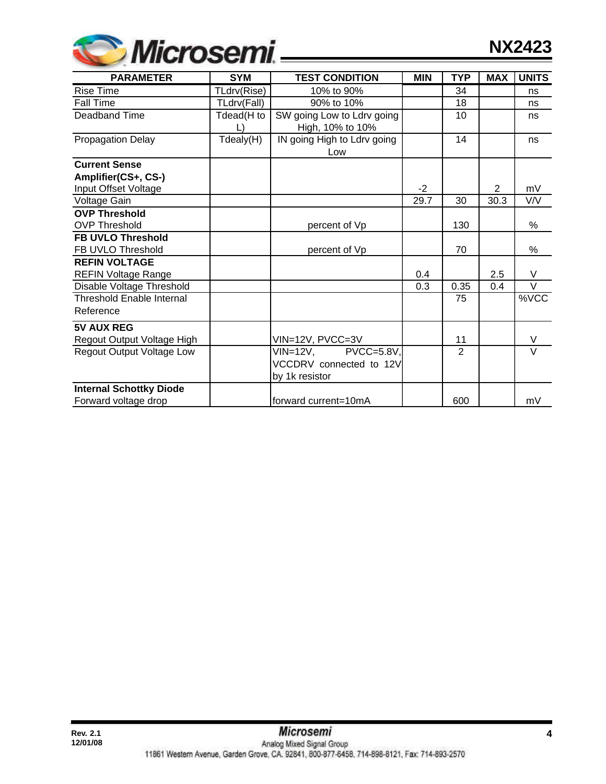

| <b>PARAMETER</b>                 | <b>SYM</b>  | <b>TEST CONDITION</b>       | <b>MIN</b> | <b>TYP</b>     | <b>MAX</b>     | <b>UNITS</b> |
|----------------------------------|-------------|-----------------------------|------------|----------------|----------------|--------------|
| <b>Rise Time</b>                 | TLdrv(Rise) | 10% to 90%                  |            | 34             |                | ns           |
| <b>Fall Time</b>                 | TLdrv(Fall) | 90% to 10%                  |            | 18             |                | ns           |
| Deadband Time                    | Tdead(H to  | SW going Low to Ldrv going  |            | 10             |                | ns           |
|                                  |             | High, 10% to 10%            |            |                |                |              |
| <b>Propagation Delay</b>         | Tdealy(H)   | IN going High to Ldrv going |            | 14             |                | ns           |
|                                  |             | Low                         |            |                |                |              |
| <b>Current Sense</b>             |             |                             |            |                |                |              |
| Amplifier(CS+, CS-)              |             |                             |            |                |                |              |
| Input Offset Voltage             |             |                             | $-2$       |                | $\overline{2}$ | mV           |
| Voltage Gain                     |             |                             | 29.7       | 30             | 30.3           | V/V          |
| <b>OVP Threshold</b>             |             |                             |            |                |                |              |
| <b>OVP Threshold</b>             |             | percent of Vp               |            | 130            |                | %            |
| <b>FB UVLO Threshold</b>         |             |                             |            |                |                |              |
| FB UVLO Threshold                |             | percent of Vp               |            | 70             |                | %            |
| <b>REFIN VOLTAGE</b>             |             |                             |            |                |                |              |
| <b>REFIN Voltage Range</b>       |             |                             | 0.4        |                | 2.5            | V            |
| Disable Voltage Threshold        |             |                             | 0.3        | 0.35           | 0.4            | $\vee$       |
| <b>Threshold Enable Internal</b> |             |                             |            | 75             |                | %VCC         |
| Reference                        |             |                             |            |                |                |              |
| <b>5V AUX REG</b>                |             |                             |            |                |                |              |
| Regout Output Voltage High       |             | VIN=12V, PVCC=3V            |            | 11             |                | V            |
| <b>Regout Output Voltage Low</b> |             | $VIN = 12V$<br>PVCC=5.8V,   |            | $\overline{2}$ |                | $\vee$       |
|                                  |             | VCCDRV connected to 12V     |            |                |                |              |
|                                  |             | by 1k resistor              |            |                |                |              |
| <b>Internal Schottky Diode</b>   |             |                             |            |                |                |              |
| Forward voltage drop             |             | forward current=10mA        |            | 600            |                | mV           |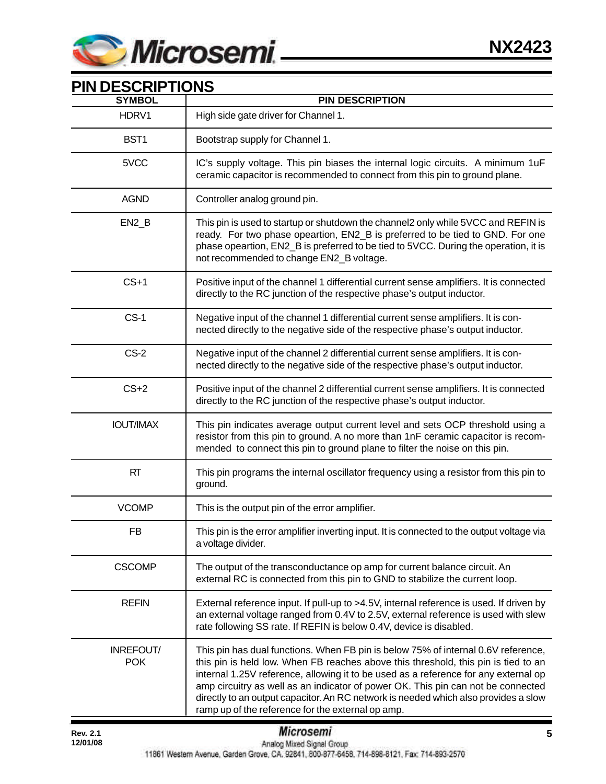

| PIN DESCRIPTIONS<br><b>SYMBOL</b> | <b>PIN DESCRIPTION</b>                                                                                                                                                                                                                                                                                                                                                                                                                                                                         |
|-----------------------------------|------------------------------------------------------------------------------------------------------------------------------------------------------------------------------------------------------------------------------------------------------------------------------------------------------------------------------------------------------------------------------------------------------------------------------------------------------------------------------------------------|
| HDRV1                             | High side gate driver for Channel 1.                                                                                                                                                                                                                                                                                                                                                                                                                                                           |
| BST1                              | Bootstrap supply for Channel 1.                                                                                                                                                                                                                                                                                                                                                                                                                                                                |
| 5VCC                              | IC's supply voltage. This pin biases the internal logic circuits. A minimum 1uF<br>ceramic capacitor is recommended to connect from this pin to ground plane.                                                                                                                                                                                                                                                                                                                                  |
| <b>AGND</b>                       | Controller analog ground pin.                                                                                                                                                                                                                                                                                                                                                                                                                                                                  |
| $EN2_B$                           | This pin is used to startup or shutdown the channel2 only while 5VCC and REFIN is<br>ready. For two phase opeartion, EN2_B is preferred to be tied to GND. For one<br>phase opeartion, EN2_B is preferred to be tied to 5VCC. During the operation, it is<br>not recommended to change EN2_B voltage.                                                                                                                                                                                          |
| $CS+1$                            | Positive input of the channel 1 differential current sense amplifiers. It is connected<br>directly to the RC junction of the respective phase's output inductor.                                                                                                                                                                                                                                                                                                                               |
| $CS-1$                            | Negative input of the channel 1 differential current sense amplifiers. It is con-<br>nected directly to the negative side of the respective phase's output inductor.                                                                                                                                                                                                                                                                                                                           |
| $CS-2$                            | Negative input of the channel 2 differential current sense amplifiers. It is con-<br>nected directly to the negative side of the respective phase's output inductor.                                                                                                                                                                                                                                                                                                                           |
| $CS+2$                            | Positive input of the channel 2 differential current sense amplifiers. It is connected<br>directly to the RC junction of the respective phase's output inductor.                                                                                                                                                                                                                                                                                                                               |
| <b>IOUT/IMAX</b>                  | This pin indicates average output current level and sets OCP threshold using a<br>resistor from this pin to ground. A no more than 1nF ceramic capacitor is recom-<br>mended to connect this pin to ground plane to filter the noise on this pin.                                                                                                                                                                                                                                              |
| <b>RT</b>                         | This pin programs the internal oscillator frequency using a resistor from this pin to<br>ground.                                                                                                                                                                                                                                                                                                                                                                                               |
| <b>VCOMP</b>                      | This is the output pin of the error amplifier.                                                                                                                                                                                                                                                                                                                                                                                                                                                 |
| FB                                | This pin is the error amplifier inverting input. It is connected to the output voltage via<br>a voltage divider.                                                                                                                                                                                                                                                                                                                                                                               |
| <b>CSCOMP</b>                     | The output of the transconductance op amp for current balance circuit. An<br>external RC is connected from this pin to GND to stabilize the current loop.                                                                                                                                                                                                                                                                                                                                      |
| <b>REFIN</b>                      | External reference input. If pull-up to >4.5V, internal reference is used. If driven by<br>an external voltage ranged from 0.4V to 2.5V, external reference is used with slew<br>rate following SS rate. If REFIN is below 0.4V, device is disabled.                                                                                                                                                                                                                                           |
| INREFOUT/<br><b>POK</b>           | This pin has dual functions. When FB pin is below 75% of internal 0.6V reference,<br>this pin is held low. When FB reaches above this threshold, this pin is tied to an<br>internal 1.25V reference, allowing it to be used as a reference for any external op<br>amp circuitry as well as an indicator of power OK. This pin can not be connected<br>directly to an output capacitor. An RC network is needed which also provides a slow<br>ramp up of the reference for the external op amp. |

## **PIN DESCRIPTIONS**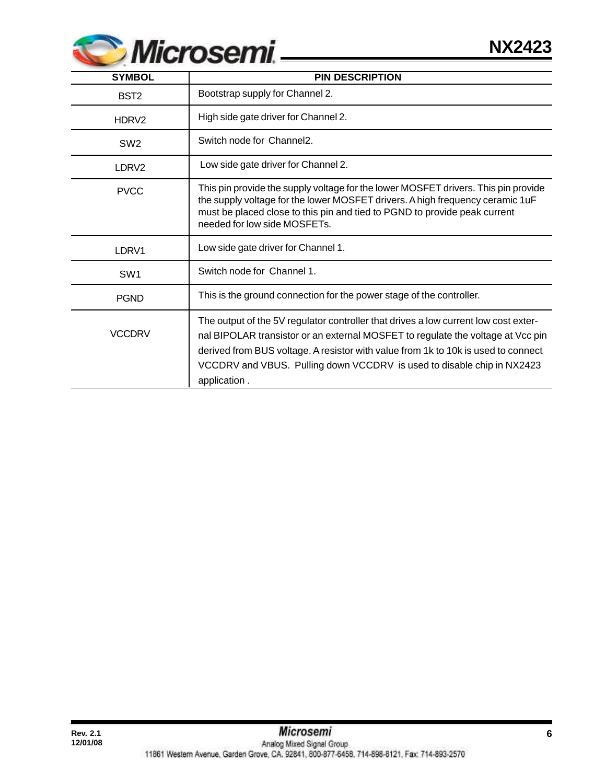

| <b>SYMBOL</b>     | <b>PIN DESCRIPTION</b>                                                                                                                                                                                                                                                                                                                                |
|-------------------|-------------------------------------------------------------------------------------------------------------------------------------------------------------------------------------------------------------------------------------------------------------------------------------------------------------------------------------------------------|
| BST <sub>2</sub>  | Bootstrap supply for Channel 2.                                                                                                                                                                                                                                                                                                                       |
| HDRV <sub>2</sub> | High side gate driver for Channel 2.                                                                                                                                                                                                                                                                                                                  |
| SW <sub>2</sub>   | Switch node for Channel2.                                                                                                                                                                                                                                                                                                                             |
| LDRV <sub>2</sub> | Low side gate driver for Channel 2.                                                                                                                                                                                                                                                                                                                   |
| <b>PVCC</b>       | This pin provide the supply voltage for the lower MOSFET drivers. This pin provide<br>the supply voltage for the lower MOSFET drivers. A high frequency ceramic 1uF<br>must be placed close to this pin and tied to PGND to provide peak current<br>needed for low side MOSFETs.                                                                      |
| LDRV1             | Low side gate driver for Channel 1.                                                                                                                                                                                                                                                                                                                   |
| SW <sub>1</sub>   | Switch node for Channel 1.                                                                                                                                                                                                                                                                                                                            |
| <b>PGND</b>       | This is the ground connection for the power stage of the controller.                                                                                                                                                                                                                                                                                  |
| <b>VCCDRV</b>     | The output of the 5V regulator controller that drives a low current low cost exter-<br>nal BIPOLAR transistor or an external MOSFET to regulate the voltage at Vcc pin<br>derived from BUS voltage. A resistor with value from 1k to 10k is used to connect<br>VCCDRV and VBUS. Pulling down VCCDRV is used to disable chip in NX2423<br>application. |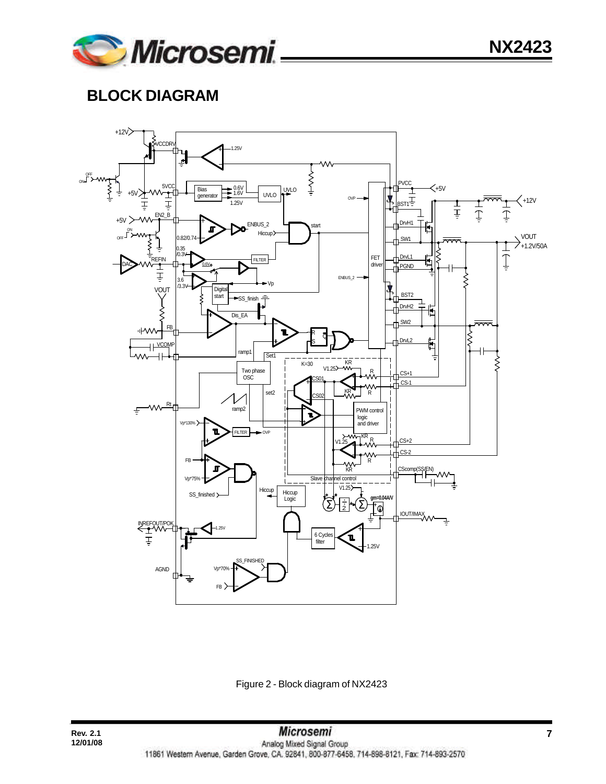

# **BLOCK DIAGRAM**



Figure 2 - Block diagram of NX2423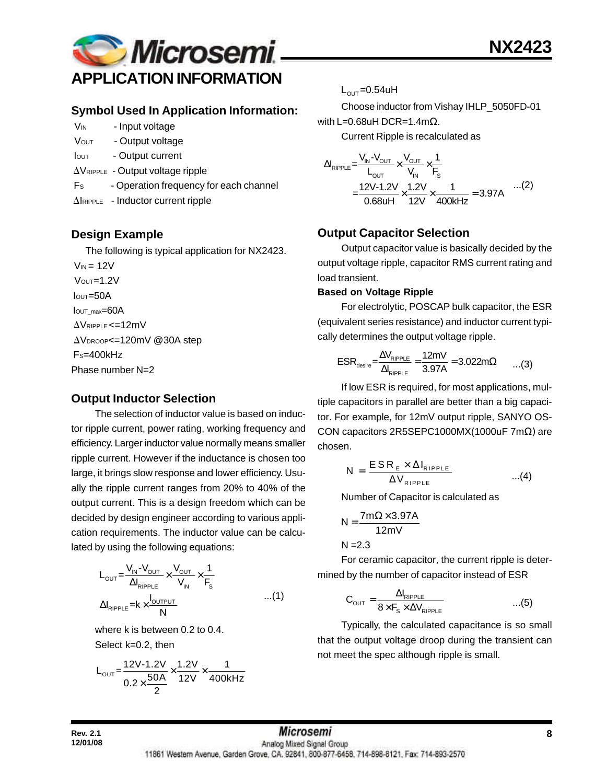

### **Symbol Used In Application Information:**

- V<sub>IN</sub> Input voltage
- VOUT Output voltage
- Iout Output current
- $\Delta V_{RIPPLE}$  Output voltage ripple
- F<sub>s</sub> Operation frequency for each channel
- $\Delta$ IRIPPLE Inductor current ripple

### **Design Example**

The following is typical application for NX2423.

 $V_{IN} = 12V$  $V$ OUT= $1.2V$  $I<sub>OUT</sub>=50A$ IOUT\_max=60A  $\Delta V$ RIPPLE <=12mV AVDROOP<=120mV @30A step FS=400kHz Phase number N=2

## **Output Inductor Selection**

The selection of inductor value is based on inductor ripple current, power rating, working frequency and efficiency. Larger inductor value normally means smaller ripple current. However if the inductance is chosen too large, it brings slow response and lower efficiency. Usually the ripple current ranges from 20% to 40% of the output current. This is a design freedom which can be decided by design engineer according to various application requirements. The inductor value can be calculated by using the following equations:

$$
L_{\text{OUT}} = \frac{V_{\text{IN}} - V_{\text{OUT}}}{\Delta I_{\text{RIPPLE}}} \times \frac{V_{\text{OUT}}}{V_{\text{IN}}} \times \frac{1}{F_s}
$$
  
 
$$
\Delta I_{\text{RIPPLE}} = k \times \frac{I_{\text{OUTPUT}}}{N} \qquad ...(1)
$$

where k is between 0.2 to 0.4. Select k=0.2, then

$$
L_{\text{OUT}} = \frac{12V - 1.2V}{0.2 \times \frac{50A}{2}} \times \frac{1.2V}{12V} \times \frac{1}{400kHz}
$$

 $L_{\text{OUT}} = 0.54$ uH

Choose inductor from Vishay IHLP\_5050FD-01 with L=0.68uH DCR=1.4mΩ.

Current Ripple is recalculated as

$$
\Delta I_{\text{RIPPLE}} = \frac{V_{\text{IN}} - V_{\text{OUT}}}{L_{\text{OUT}}} \times \frac{V_{\text{OUT}}}{V_{\text{IN}}} \times \frac{1}{F_{\text{s}}}
$$
  
= 
$$
\frac{12V - 1.2V}{0.68 \text{UH}} \times \frac{1.2V}{12V} \times \frac{1}{400 \text{kHz}} = 3.97 \text{A}
$$
...(2)

## **Output Capacitor Selection**

Output capacitor value is basically decided by the output voltage ripple, capacitor RMS current rating and load transient.

#### **Based on Voltage Ripple**

For electrolytic, POSCAP bulk capacitor, the ESR (equivalent series resistance) and inductor current typically determines the output voltage ripple.

$$
ESR_{\text{desire}} = \frac{\Delta V_{\text{RIPPLE}}}{\Delta I_{\text{RIPPLE}}} = \frac{12mV}{3.97A} = 3.022m\Omega \qquad ...(3)
$$

If low ESR is required, for most applications, multiple capacitors in parallel are better than a big capacitor. For example, for 12mV output ripple, SANYO OS-CON capacitors 2R5SEPC1000MX(1000uF 7mΩ) are chosen.

$$
N = \frac{ESR_{E} \times \Delta I_{RIPPLE}}{\Delta V_{RIPPLE}} \qquad ...(4)
$$

Number of Capacitor is calculated as

$$
N = \frac{7m\Omega \times 3.97A}{12mV}
$$

 $N = 2.3$ 

For ceramic capacitor, the current ripple is determined by the number of capacitor instead of ESR

$$
C_{\text{OUT}} = \frac{\Delta I_{\text{RipPLE}}}{8 \times F_{\text{S}} \times \Delta V_{\text{RipPLE}}} \qquad ...(5)
$$

Typically, the calculated capacitance is so small that the output voltage droop during the transient can not meet the spec although ripple is small.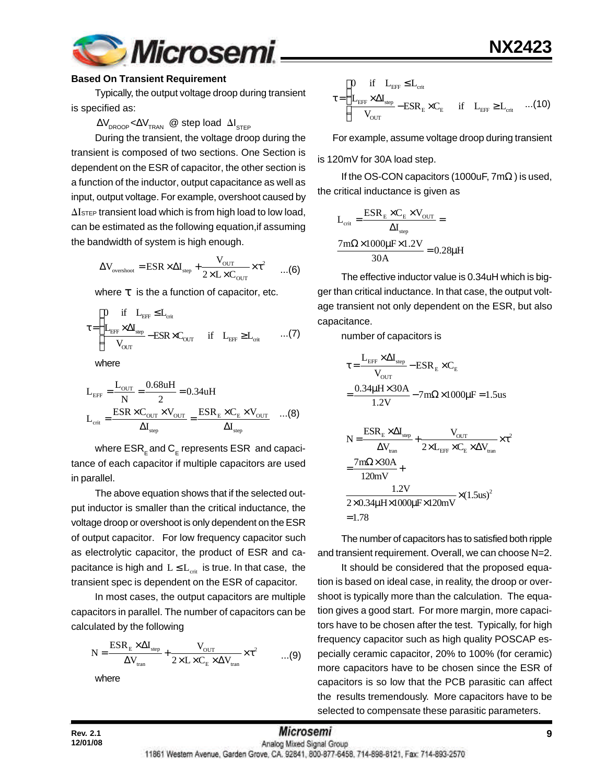

#### **Based On Transient Requirement**

Typically, the output voltage droop during transient is specified as:

#### $\Delta\rm{V}_{\rm{DROOP}}$ < $\Delta\rm{V}_{\rm{TRAN}}$  @ step load  $\Delta\rm{I}_{\rm{STEP}}$

During the transient, the voltage droop during the transient is composed of two sections. One Section is dependent on the ESR of capacitor, the other section is a function of the inductor, output capacitance as well as input, output voltage. For example, overshoot caused by  $\Delta I$ <sub>STEP</sub> transient load which is from high load to low load, can be estimated as the following equation,if assuming the bandwidth of system is high enough.

$$
\Delta V_{\text{overshoot}} = \text{ESR} \times \Delta I_{\text{step}} + \frac{V_{\text{OUT}}}{2 \times L \times C_{\text{OUT}}} \times \tau^2 \qquad ...(6)
$$

where *t* is the a function of capacitor, etc.

$$
\tau \!=\! \begin{cases} \!\!\!\!\! 0 \quad \text{if} \quad L_{\text{EFF}} \!\leq\! L_{\text{crit}} \\ \!\!\!\!\! L_{\text{EFF}} \!\times\! \Delta I_{\text{step}} \!-\! \text{ESR} \!\times\! C_{\text{OUT}} \quad \text{if} \quad L_{\text{EFF}} \!\geq\! L_{\text{crit}} \qquad ... (7) \end{cases}
$$

where

$$
L_{\text{EFF}} = \frac{L_{\text{OUT}}}{N} = \frac{0.68uH}{2} = 0.34uH
$$

$$
L_{\text{crit}} = \frac{ESR \times C_{\text{OUT}} \times V_{\text{OUT}}}{\Delta I_{\text{step}}} = \frac{ESR_{\text{E}} \times C_{\text{E}} \times V_{\text{OUT}}}{\Delta I_{\text{step}}} \quad ...(8)
$$

where  $\mathsf{ESR}_\mathsf{E}$  and  $\mathsf{C}_\mathsf{E}$  represents  $\mathsf{ESR}\,$  and capacitance of each capacitor if multiple capacitors are used in parallel.

The above equation shows that if the selected output inductor is smaller than the critical inductance, the voltage droop or overshoot is only dependent on the ESR of output capacitor. For low frequency capacitor such as electrolytic capacitor, the product of ESR and capacitance is high and  $L \le L_{crit}$  is true. In that case, the transient spec is dependent on the ESR of capacitor.

In most cases, the output capacitors are multiple capacitors in parallel. The number of capacitors can be calculated by the following

$$
N = \frac{ESR_{\rm E} \times \Delta I_{\rm step}}{\Delta V_{\rm tran}} + \frac{V_{\rm OUT}}{2 \times L \times C_{\rm E} \times \Delta V_{\rm tran}} \times \tau^2 \qquad \qquad ...(9)
$$

where

EFF crit EFF step E E EFF crit OUT 0 if L L L I ESR C if L L V ≤ τ = ×Δ − × ≥ ...(10)

For example, assume voltage droop during transient

is 120mV for 30A load step.

If the OS-CON capacitors (1000uF,  $7m\Omega$ ) is used, the critical inductance is given as

$$
L_{\text{crit}} = \frac{ESR_{\text{E}} \times C_{\text{E}} \times V_{\text{OUT}}}{\Delta I_{\text{step}}} =
$$

$$
\frac{7\text{m}\Omega \times 1000\mu\text{F} \times 1.2V}{30\text{A}} = 0.28\mu\text{H}
$$

The effective inductor value is 0.34uH which is bigger than critical inductance. In that case, the output voltage transient not only dependent on the ESR, but also capacitance.

number of capacitors is

$$
\tau = \frac{L_{\text{EFF}} \times \Delta I_{\text{step}}}{V_{\text{OUT}}} - \text{ESR}_{\text{E}} \times C_{\text{E}}
$$
\n
$$
= \frac{0.34 \mu H \times 30 \text{A}}{1.2 \text{V}} - 7 \text{m}\Omega \times 1000 \mu \text{F} = 1.5 \text{us}
$$
\n
$$
N = \frac{\text{ESR}_{\text{E}} \times \Delta I_{\text{step}}}{\Delta V_{\text{tran}}} + \frac{V_{\text{OUT}}}{2 \times L_{\text{EFF}} \times C_{\text{E}} \times \Delta V_{\text{tran}}} \times \tau^{2}
$$
\n
$$
= \frac{7 \text{m}\Omega \times 30 \text{A}}{120 \text{mV}} + \frac{1.2 \text{V}}{2 \times 0.34 \mu \text{H} \times 1000 \mu \text{F} \times 120 \text{mV}} \times (1.5 \text{us})^{2}
$$
\n= 1.78

The number of capacitors has to satisfied both ripple and transient requirement. Overall, we can choose N=2.

It should be considered that the proposed equation is based on ideal case, in reality, the droop or overshoot is typically more than the calculation. The equation gives a good start. For more margin, more capacitors have to be chosen after the test. Typically, for high frequency capacitor such as high quality POSCAP especially ceramic capacitor, 20% to 100% (for ceramic) more capacitors have to be chosen since the ESR of capacitors is so low that the PCB parasitic can affect the results tremendously. More capacitors have to be selected to compensate these parasitic parameters.

**12/01/08**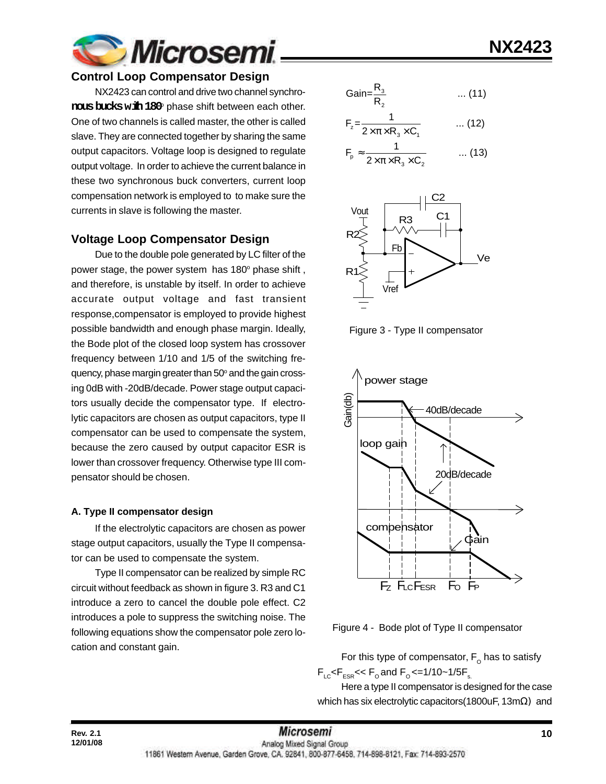

#### **Control Loop Compensator Design**

NX2423 can control and drive two channel synchro- ${\rm \bf \text{rows}\,\text{b}x}$ ks w ${\rm \bf \text{th}}\,180^{\circ}$  phase shift between each other. One of two channels is called master, the other is called slave. They are connected together by sharing the same output capacitors. Voltage loop is designed to regulate output voltage. In order to achieve the current balance in these two synchronous buck converters, current loop compensation network is employed to to make sure the currents in slave is following the master.

#### **Voltage Loop Compensator Design**

Due to the double pole generated by LC filter of the power stage, the power system has 180° phase shift, and therefore, is unstable by itself. In order to achieve accurate output voltage and fast transient response,compensator is employed to provide highest possible bandwidth and enough phase margin. Ideally, the Bode plot of the closed loop system has crossover frequency between 1/10 and 1/5 of the switching frequency, phase margin greater than 50° and the gain crossing 0dB with -20dB/decade. Power stage output capacitors usually decide the compensator type. If electrolytic capacitors are chosen as output capacitors, type II compensator can be used to compensate the system, because the zero caused by output capacitor ESR is lower than crossover frequency. Otherwise type III compensator should be chosen.

#### **A. Type II compensator design**

**12/01/08**

If the electrolytic capacitors are chosen as power stage output capacitors, usually the Type II compensator can be used to compensate the system.

Type II compensator can be realized by simple RC circuit without feedback as shown in figure 3. R3 and C1 introduce a zero to cancel the double pole effect. C2 introduces a pole to suppress the switching noise. The following equations show the compensator pole zero location and constant gain.

$$
Gain = \frac{R_3}{R_2} \qquad \qquad \dots (11)
$$

$$
F_z = \frac{1}{2 \times \pi \times R_3 \times C_1} \qquad \qquad \dots (12)
$$

$$
F_p \approx \frac{1}{2 \times \pi \times R_3 \times C_2} \qquad \dots (13)
$$



Figure 3 - Type II compensator



Figure 4 - Bode plot of Type II compensator

For this type of compensator,  $\mathsf{F}_\mathsf{o}$  has to satisfy  $F_{LC}$ < $F_{ESR}$ << $F_{O}$  and  $F_{O}$  <=1/10~1/5 $F_{S}$ 

Here a type II compensator is designed for the case which has six electrolytic capacitors(1800uF, 13mΩ) and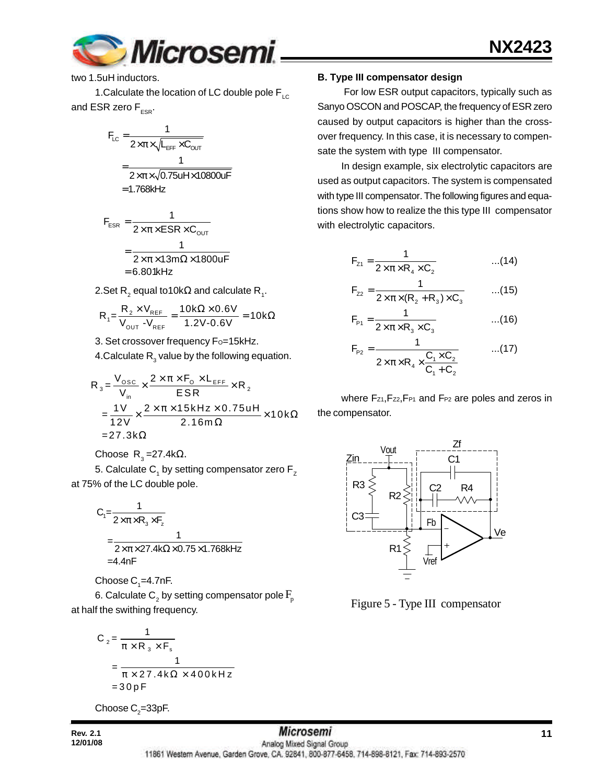

two 1.5uH inductors.

1. Calculate the location of LC double pole  $F_{\text{LC}}$ and ESR zero  $F_{ESR}$ .

$$
F_{LC} = \frac{1}{2 \times \pi \times \sqrt{L_{EFF} \times C_{OUT}}}
$$

$$
= \frac{1}{2 \times \pi \times \sqrt{0.75 u H \times 10800 u F}}
$$

$$
= 1.768 kHz
$$

$$
F_{ESR} = \frac{1}{2 \times \pi \times ESR \times C_{OUT}}
$$

$$
= \frac{1}{2 \times \pi \times 13 \text{ m}\Omega \times 1800 \text{ uF}}
$$

$$
= 6.801 \text{kHz}
$$

2.Set R $_2$  equal to10k $\Omega$  and calculate R $_{_1}$ .

$$
R_1 = \frac{R_2 \times V_{REF}}{V_{OUT} - V_{REF}} = \frac{10k\Omega \times 0.6V}{1.2V - 0.6V} = 10k\Omega
$$

3. Set crossover frequency Fo=15kHz.

4.Calculate  $\mathsf{R}_{_{3}}$  value by the following equation.

$$
R_{3} = \frac{V_{\text{osc}}}{V_{\text{in}}} \times \frac{2 \times \pi \times F_{\text{o}} \times L_{\text{EFF}}}{ESR} \times R_{2}
$$
  
= 
$$
\frac{1V}{12V} \times \frac{2 \times \pi \times 15kHz \times 0.75uH}{2.16m\Omega} \times 10k\Omega
$$
  
= 27.3k $\Omega$ 

Choose R<sub>3</sub>=27.4kΩ.

5. Calculate  $\mathsf{C}_\mathsf{1}$  by setting compensator zero  $\mathsf{F}_\mathsf{z}$ at 75% of the LC double pole.

$$
C_1 = \frac{1}{2 \times \pi \times R_3 \times F_z}
$$
  
= 
$$
\frac{1}{2 \times \pi \times 27.4 \text{k}\Omega \times 0.75 \times 1.768 \text{kHz}}
$$
  
= 4.4nF

Choose  $\mathsf{C}_\text{\tiny{1}}$ =4.7nF.

6. Calculate  $\mathsf{C}_\mathsf{2}$  by setting compensator pole  $\mathrm{F}_\mathsf{p}$ at half the swithing frequency.

$$
C_2 = \frac{1}{\pi \times R_3 \times F_s}
$$
  
= 
$$
\frac{1}{\pi \times 27.4 \text{ k}\Omega \times 400 \text{ kHz}}
$$
  
= 30 pF

Choose  $\mathsf{C}_2$ =33pF.

## **B. Type III compensator design**

 For low ESR output capacitors, typically such as Sanyo OSCON and POSCAP, the frequency of ESR zero caused by output capacitors is higher than the crossover frequency. In this case, it is necessary to compensate the system with type III compensator.

In design example, six electrolytic capacitors are used as output capacitors. The system is compensated with type III compensator. The following figures and equations show how to realize the this type III compensator with electrolytic capacitors.

$$
F_{z_1} = \frac{1}{2 \times \pi \times R_4 \times C_2}
$$
...(14)

$$
F_{z2} = \frac{1}{2 \times \pi \times (R_2 + R_3) \times C_3}
$$
...(15)

$$
F_{p_1} = \frac{1}{2 \times \pi \times R_3 \times C_3}
$$
...(16)

$$
F_{p_2} = \frac{1}{2 \times \pi \times R_4 \times \frac{C_1 \times C_2}{C_1 + C_2}}
$$
...(17)

where Fz1, Fz2, FP1 and FP2 are poles and zeros in the compensator.



Figure 5 - Type III compensator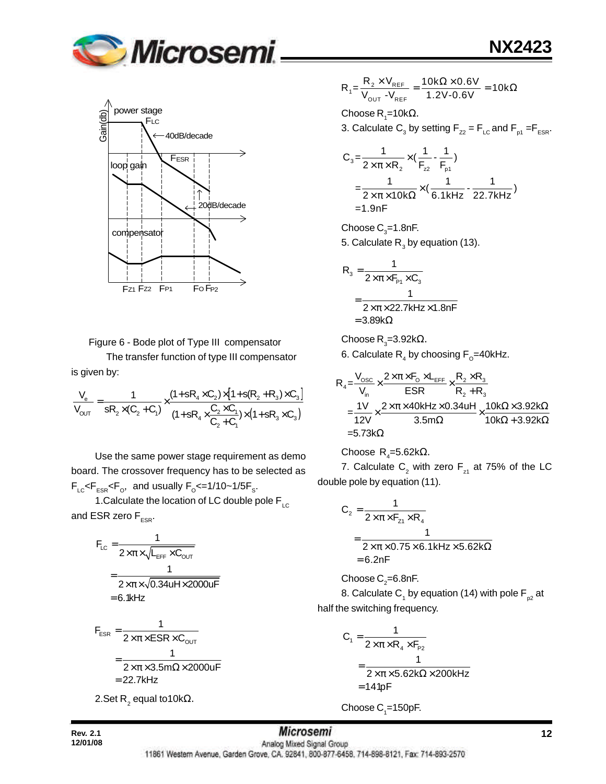



Figure 6 - Bode plot of Type III compensator

The transfer function of type III compensator is given by:

$$
\frac{V_e}{V_{OUT}} = \frac{1}{sR_2 \times (C_2 + C_1)} \times \frac{(1 + sR_4 \times C_2) \times [1 + s(R_2 + R_3) \times C_3]}{(1 + sR_4 \times \frac{C_2 \times C_1}{C_2 + C_1}) \times (1 + sR_3 \times C_3)}
$$

Use the same power stage requirement as demo board. The crossover frequency has to be selected as  $F_{LC}$ < $F_{ESR}$ < $F_{O}$ , and usually  $F_{O}$ <=1/10~1/5 $F_{S}$ .

1. Calculate the location of LC double pole  $F_{LC}$ and ESR zero  $F_{ESR}$ .

$$
F_{LC} = \frac{1}{2 \times \pi \times \sqrt{L_{EFF} \times C_{OUT}}}
$$

$$
= \frac{1}{2 \times \pi \times \sqrt{0.34 u H \times 2000 u F}}
$$

$$
= 6.1 k Hz
$$

$$
F_{ESR} = \frac{1}{2 \times \pi \times ESR \times C_{OUT}}
$$

$$
= \frac{1}{2 \times \pi \times 3.5 \text{m}\Omega \times 2000 \text{uF}}
$$

$$
= 22.7 \text{kHz}
$$

2.Set R $_{2}$  equal to10kΩ.

 $v_1 = \frac{R_2 \times V_{REF}}{V_{OUT} - V_{REF}}$  $R_1 = \frac{R_2 \times V_{REF}}{V_{OUT} - V_{REF}} = \frac{10k\Omega \times 0.6V}{1.2V - 0.6V} = 10k$  $\frac{X V_{REF}}{Y} = \frac{10 k\Omega \times 0.6 V}{10 k\Omega \times 0.2 V} = 10 k\Omega$ 

Choose R<sub>1</sub>=10kΩ.

3. Calculate  $\mathsf{C}_3$  by setting  $\mathsf{F}_{z2}$  =  $\mathsf{F}_{\mathsf{LC}}$  and  $\mathsf{F}_{\mathsf{p1}}$  = $\mathsf{F}_{\mathsf{ESR}}$ .

$$
C_3 = \frac{1}{2 \times \pi \times R_2} \times (\frac{1}{F_{z2}} - \frac{1}{F_{p1}})
$$
  
=  $\frac{1}{2 \times \pi \times 10k\Omega} \times (\frac{1}{6.1kHz} - \frac{1}{22.7kHz})$   
= 1.9nF

Choose  $\text{C}_3$ =1.8nF. 5. Calculate  $\mathsf{R}_{_{3}}$  by equation (13).

$$
R_{3} = \frac{1}{2 \times \pi \times F_{P1} \times C_{3}}
$$
  
= 
$$
\frac{1}{2 \times \pi \times 22.7 \text{kHz} \times 1.8 \text{nF}}
$$
  
= 3.89k\Omega

Choose R<sub>3</sub>=3.92k $\Omega$ .

6. Calculate  $\mathsf{R}_{_4}$  by choosing  $\mathsf{F}_{_{\text{\tiny O}}}$ =40kHz.

$$
R_4 = \frac{V_{osc}}{V_{in}} \times \frac{2 \times \pi \times F_0 \times L_{EFF}}{ESR} \times \frac{R_2 \times R_3}{R_2 + R_3}
$$
  
=  $\frac{1V}{12V} \times \frac{2 \times \pi \times 40kHz \times 0.34uH}{3.5m\Omega} \times \frac{10k\Omega \times 3.92k\Omega}{10k\Omega + 3.92k\Omega}$   
= 5.73k $\Omega$ 

Choose 
$$
R_4
$$
=5.62kΩ.

7. Calculate  $\mathsf{C}_2^{}$  with zero  $\mathsf{F}_{\mathsf{z}^1}$  at 75% of the LC double pole by equation (11).

$$
C_2 = \frac{1}{2 \times \pi \times F_{z1} \times R_4}
$$
  
= 
$$
\frac{1}{2 \times \pi \times 0.75 \times 6.1 \text{kHz} \times 5.62 \text{k}\Omega}
$$
  
= 6.2nF

Choose C $_{\textrm{\tiny{2}}}$ =6.8nF.

8. Calculate C<sub>1</sub> by equation (14) with pole F<sub>p2</sub> at half the switching frequency.

$$
C_1 = \frac{1}{2 \times \pi \times R_4 \times F_{P2}}
$$
  
= 
$$
\frac{1}{2 \times \pi \times 5.62 k\Omega \times 200 kHz}
$$
  
= 141pF

Choose  $\mathrm{C}_\text{\tiny{1}}$ =150pF.

**Rev. 2.1 12 12** *MICTOSEMI* 11861 Western Avenue, Garden Grove, CA. 92841, 800-877-6458, 714-898-8121, Fax: 714-893-2570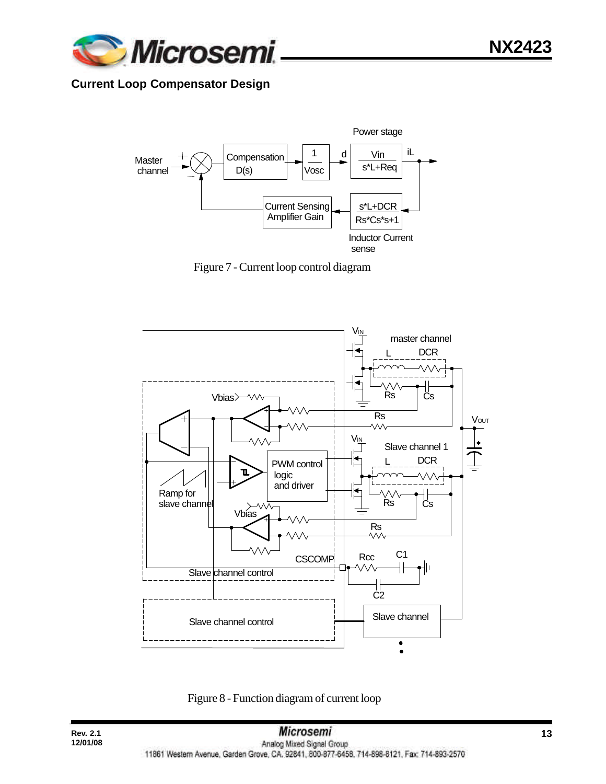

## **Current Loop Compensator Design**



Figure 7 - Current loop control diagram



Figure 8 - Function diagram of current loop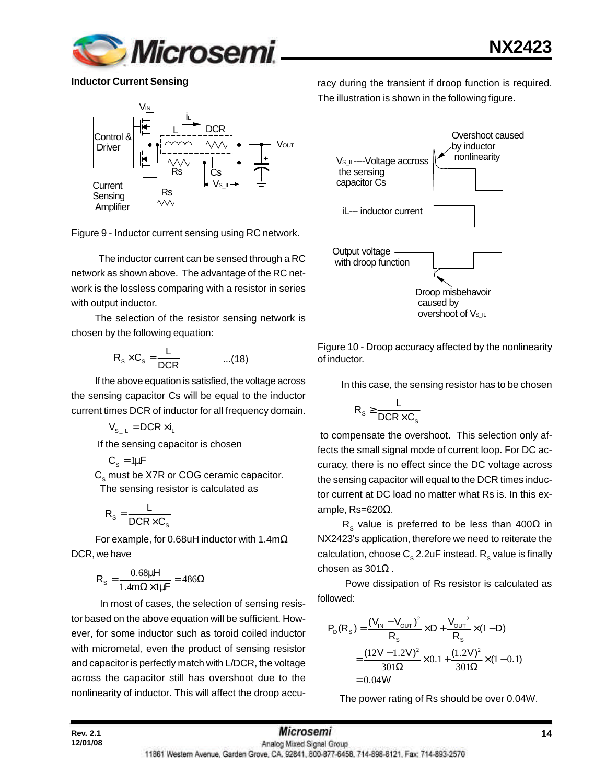

**Inductor Current Sensing**



Figure 9 - Inductor current sensing using RC network.

 The inductor current can be sensed through a RC network as shown above. The advantage of the RC network is the lossless comparing with a resistor in series with output inductor.

The selection of the resistor sensing network is chosen by the following equation:

$$
R_s \times C_s = \frac{L}{DCR} \qquad \qquad ...(18)
$$

If the above equation is satisfied, the voltage across the sensing capacitor Cs will be equal to the inductor current times DCR of inductor for all frequency domain.

 $V_{\rm s}$   $_{\rm II}$  = DCR  $\times$  i<sub>1</sub>

If the sensing capacitor is chosen

$$
C_{s} = 1\mu F
$$

 $\textsf{C}_\text{s}$  must be X7R or COG ceramic capacitor. The sensing resistor is calculated as

$$
R_{s} = \frac{L}{DCR \times C_{s}}
$$

**12/01/08**

For example, for 0.68uH inductor with 1.4mΩ DCR, we have

$$
R_s = \frac{0.68\mu H}{1.4m\Omega \times 1\mu F} = 486\Omega
$$

 In most of cases, the selection of sensing resistor based on the above equation will be sufficient. However, for some inductor such as toroid coiled inductor with micrometal, even the product of sensing resistor and capacitor is perfectly match with L/DCR, the voltage across the capacitor still has overshoot due to the nonlinearity of inductor. This will affect the droop accuracy during the transient if droop function is required. The illustration is shown in the following figure.



Figure 10 - Droop accuracy affected by the nonlinearity of inductor.

In this case, the sensing resistor has to be chosen

$$
R_s \geq \frac{L}{DCR \times C_s}
$$

 to compensate the overshoot. This selection only affects the small signal mode of current loop. For DC accuracy, there is no effect since the DC voltage across the sensing capacitor will equal to the DCR times inductor current at DC load no matter what Rs is. In this example, Rs=620Ω.

R<sub>s</sub> value is preferred to be less than 400 $\Omega$  in NX2423's application, therefore we need to reiterate the calculation, choose  $\textsf{C}_\text{s}$  2.2uF instead.  $\textsf{R}_\text{s}$  value is finally chosen as 301Ω .

 Powe dissipation of Rs resistor is calculated as followed:

$$
P_D(R_S) = \frac{(V_{IN} - V_{OUT})^2}{R_S} \times D + \frac{V_{OUT}^2}{R_S} \times (1 - D)
$$
  
= 
$$
\frac{(12V - 1.2V)^2}{301\Omega} \times 0.1 + \frac{(1.2V)^2}{301\Omega} \times (1 - 0.1)
$$
  
= 0.04W

The power rating of Rs should be over 0.04W.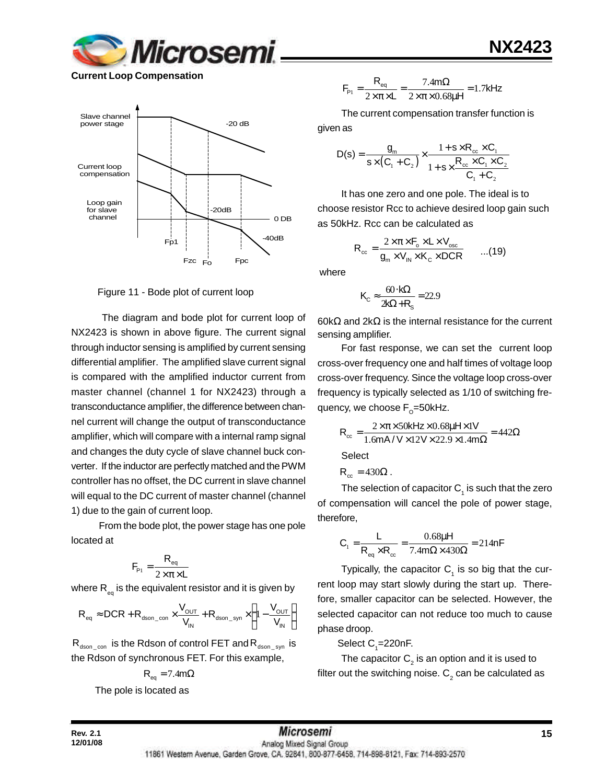

**Current Loop Compensation**



Figure 11 - Bode plot of current loop

 The diagram and bode plot for current loop of NX2423 is shown in above figure. The current signal through inductor sensing is amplified by current sensing differential amplifier. The amplified slave current signal is compared with the amplified inductor current from master channel (channel 1 for NX2423) through a transconductance amplifier, the difference between channel current will change the output of transconductance amplifier, which will compare with a internal ramp signal and changes the duty cycle of slave channel buck converter. If the inductor are perfectly matched and the PWM controller has no offset, the DC current in slave channel will equal to the DC current of master channel (channel 1) due to the gain of current loop.

 From the bode plot, the power stage has one pole located at

$$
F_{\rm p1} = \frac{R_{\rm eq}}{2 \times \pi \times L}
$$

where  $\mathsf{R}_{_\mathsf{eq}}$  is the equivalent resistor and it is given by

$$
R_{\text{eq}} \approx DCR + R_{\text{dson\_con}} \times \frac{V_{\text{OUT}}}{V_{\text{IN}}} + R_{\text{dson\_syn}} \times \left(1 - \frac{V_{\text{OUT}}}{V_{\text{IN}}}\right)
$$

 $R_{dson\_con}$  is the Rdson of control FET and  $R_{dson\_syn}$  is the Rdson of synchronous FET. For this example,

$$
R_{\text{eq}} = 7.4 \text{m}\Omega
$$

The pole is located as

$$
F_{\rm p1} = \frac{R_{\rm eq}}{2 \times \pi \times L} = \frac{7.4 \text{ m}\Omega}{2 \times \pi \times 0.68 \mu H} = 1.7 \text{kHz}
$$

The current compensation transfer function is

given as

$$
D(s) = \frac{g_m}{s \times (C_1 + C_2)} \times \frac{1 + s \times R_{cc} \times C_1}{1 + s \times \frac{R_{cc} \times C_1 \times C_2}{C_1 + C_2}}
$$

It has one zero and one pole. The ideal is to choose resistor Rcc to achieve desired loop gain such as 50kHz. Rcc can be calculated as

$$
R_{\rm cc} = \frac{2 \times \pi \times F_{\rm o} \times L \times V_{\rm osc}}{g_{\rm m} \times V_{\rm in} \times K_{\rm c} \times DCR}
$$
...(19)

where

$$
K_{\rm C} \approx \frac{60 \cdot k\Omega}{2k\Omega + R_{\rm s}} = 22.9
$$

60kΩ and 2kΩ is the internal resistance for the current sensing amplifier.

For fast response, we can set the current loop cross-over frequency one and half times of voltage loop cross-over frequency. Since the voltage loop cross-over frequency is typically selected as 1/10 of switching frequency, we choose F<sub>o</sub>=50kHz.

$$
R_{\infty} = \frac{2 \times \pi \times 50 \text{kHz} \times 0.68 \mu \text{Hz} \times 1 \text{V}}{1.6 \text{mA} / \text{V} \times 12 \text{V} \times 22.9 \times 1.4 \text{m}\Omega} = 442 \Omega
$$

**Select** 

$$
\mathsf{R}_{\scriptscriptstyle{\text{cc}}} = 430\Omega \, .
$$

The selection of capacitor  $\mathsf{C}_\mathtt{1}$  is such that the zero of compensation will cancel the pole of power stage, therefore,

$$
C_1 = \frac{L}{R_{eq} \times R_{cc}} = \frac{0.68 \mu H}{7.4 m \Omega \times 430 \Omega} = 214 nF
$$

Typically, the capacitor  $C_1$  is so big that the current loop may start slowly during the start up. Therefore, smaller capacitor can be selected. However, the selected capacitor can not reduce too much to cause phase droop.

Select  $C_{1}$ =220nF.

The capacitor  $\mathsf{C}_2^{}$  is an option and it is used to filter out the switching noise.  ${\sf C}_2$  can be calculated as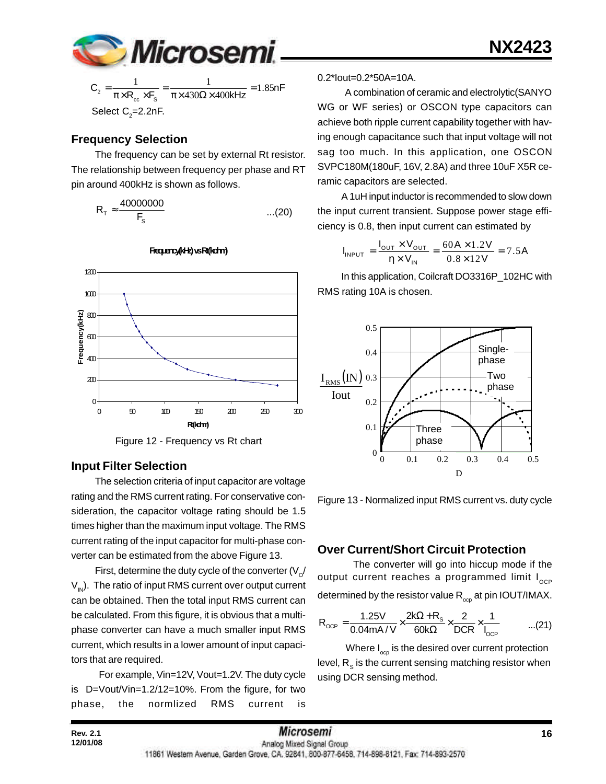

$$
C_2 = \frac{1}{\pi \times R_{cc} \times F_s} = \frac{1}{\pi \times 430\Omega \times 400kHz} = 1.85nF
$$
  
Select C<sub>2</sub>=2.2nF.

### **Frequency Selection**

The frequency can be set by external Rt resistor. The relationship between frequency per phase and RT pin around 400kHz is shown as follows.

$$
R_{\tau} \approx \frac{40000000}{F_s} \qquad \qquad \dots (20)
$$



**Frequency(kHz) vs Rt(kohm)**

Figure 12 - Frequency vs Rt chart

#### **Input Filter Selection**

The selection criteria of input capacitor are voltage rating and the RMS current rating. For conservative consideration, the capacitor voltage rating should be 1.5 times higher than the maximum input voltage. The RMS current rating of the input capacitor for multi-phase converter can be estimated from the above Figure 13.

First, determine the duty cycle of the converter (V $_{\rm \scriptscriptstyle O}$ /  $V_{1N}$ ). The ratio of input RMS current over output current can be obtained. Then the total input RMS current can be calculated. From this figure, it is obvious that a multiphase converter can have a much smaller input RMS current, which results in a lower amount of input capacitors that are required.

 For example, Vin=12V, Vout=1.2V. The duty cycle is D=Vout/Vin=1.2/12=10%. From the figure, for two phase, the normlized RMS current is

#### 0.2\*Iout=0.2\*50A=10A.

 A combination of ceramic and electrolytic(SANYO WG or WF series) or OSCON type capacitors can achieve both ripple current capability together with having enough capacitance such that input voltage will not sag too much. In this application, one OSCON SVPC180M(180uF, 16V, 2.8A) and three 10uF X5R ceramic capacitors are selected.

A 1uH input inductor is recommended to slow down the input current transient. Suppose power stage efficiency is 0.8, then input current can estimated by

$$
I_{INPUT} = \frac{I_{OUT} \times V_{OUT}}{\eta \times V_{IN}} = \frac{60A \times 1.2V}{0.8 \times 12V} = 7.5A
$$

In this application, Coilcraft DO3316P\_102HC with RMS rating 10A is chosen.



Figure 13 - Normalized input RMS current vs. duty cycle

### **Over Current/Short Circuit Protection**

The converter will go into hiccup mode if the output current reaches a programmed limit  $I_{\text{OCD}}$ determined by the resistor value  $\mathsf{R}_{_{\mathrm{ocp}}}$  at pin IOUT/IMAX.

$$
R_{OCP} = \frac{1.25V}{0.04mA/V} \times \frac{2k\Omega + R_s}{60k\Omega} \times \frac{2}{DCR} \times \frac{1}{I_{OCP}} \quad ...(21)
$$

Where  $I_{\text{opp}}$  is the desired over current protection level,  $\mathsf{R}_{_\mathbf{S}}$  is the current sensing matching resistor when using DCR sensing method.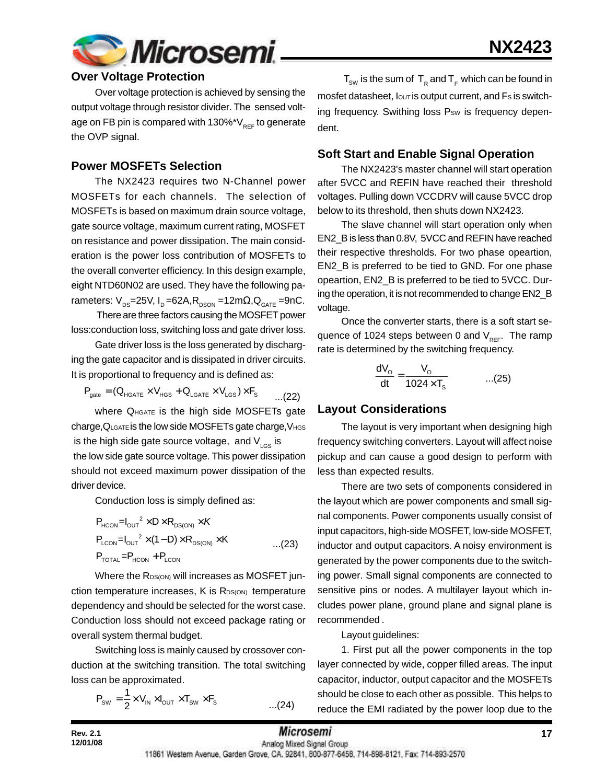

### **Over Voltage Protection**

Over voltage protection is achieved by sensing the output voltage through resistor divider. The sensed voltage on FB pin is compared with  $130\%$ \*V<sub>REF</sub> to generate the OVP signal.

#### **Power MOSFETs Selection**

The NX2423 requires two N-Channel power MOSFETs for each channels. The selection of MOSFETs is based on maximum drain source voltage, gate source voltage, maximum current rating, MOSFET on resistance and power dissipation. The main consideration is the power loss contribution of MOSFETs to the overall converter efficiency. In this design example, eight NTD60N02 are used. They have the following parameters:  $V_{DS}$ =25V, I<sub>D</sub> =62A, R<sub>DSON</sub> =12m $\Omega$ , Q<sub>GATE</sub> =9nC.

 There are three factors causing the MOSFET power loss:conduction loss, switching loss and gate driver loss.

Gate driver loss is the loss generated by discharging the gate capacitor and is dissipated in driver circuits. It is proportional to frequency and is defined as:

$$
\mathsf{P}_{\mathsf{gate}} = (\mathsf{Q}_{\mathsf{HGATE}} \times \mathsf{V}_{\mathsf{HGS}} + \mathsf{Q}_{\mathsf{LGATE}} \times \mathsf{V}_{\mathsf{LGS}}) \times \mathsf{F}_{\mathsf{S}} \qquad \qquad \ldots \text{(22)}
$$

where  $Q_{\text{HGATE}}$  is the high side MOSFETs gate charge, QLGATE is the low side MOSFETs gate charge, VHGS is the high side gate source voltage, and  $V_{LGS}$  is the low side gate source voltage. This power dissipation should not exceed maximum power dissipation of the driver device.

Conduction loss is simply defined as:

$$
P_{HCON} = I_{OUT}^2 \times D \times R_{DS(ON)} \times K
$$
  
\n
$$
P_{LCDN} = I_{OUT}^2 \times (1 - D) \times R_{DS(ON)} \times K
$$
...(23)  
\n
$$
P_{TOTAL} = P_{HCON} + P_{LCDN}
$$

Where the RDS(ON) will increases as MOSFET junction temperature increases,  $K$  is  $R_{DS(ON)}$  temperature dependency and should be selected for the worst case. Conduction loss should not exceed package rating or overall system thermal budget.

Switching loss is mainly caused by crossover conduction at the switching transition. The total switching loss can be approximated.

$$
P_{\text{sw}} = \frac{1}{2} \times V_{\text{IN}} \times I_{\text{OUT}} \times T_{\text{sw}} \times F_{\text{s}}
$$
...(24)

 ${\sf T}_{_{\sf SW}}$  is the sum of  $\, {\sf T}_{_{\sf R}}$  and  ${\sf T}_{_{\sf F}}$  which can be found in mosfet datasheet,  $I_{\text{OUT}}$  is output current, and  $Fs$  is switching frequency. Swithing loss Psw is frequency dependent.

#### **Soft Start and Enable Signal Operation**

The NX2423's master channel will start operation after 5VCC and REFIN have reached their threshold voltages. Pulling down VCCDRV will cause 5VCC drop below to its threshold, then shuts down NX2423.

The slave channel will start operation only when EN2\_B is less than 0.8V, 5VCC and REFIN have reached their respective thresholds. For two phase opeartion, EN2\_B is preferred to be tied to GND. For one phase opeartion, EN2\_B is preferred to be tied to 5VCC. During the operation, it is not recommended to change EN2\_B voltage.

Once the converter starts, there is a soft start sequence of 1024 steps between 0 and  $V_{RFF}$ . The ramp rate is determined by the switching frequency.

$$
\frac{dV_o}{dt} = \frac{V_o}{1024 \times T_s} \qquad \qquad \dots (25)
$$

#### **Layout Considerations**

The layout is very important when designing high frequency switching converters. Layout will affect noise pickup and can cause a good design to perform with less than expected results.

There are two sets of components considered in the layout which are power components and small signal components. Power components usually consist of input capacitors, high-side MOSFET, low-side MOSFET, inductor and output capacitors. A noisy environment is generated by the power components due to the switching power. Small signal components are connected to sensitive pins or nodes. A multilayer layout which includes power plane, ground plane and signal plane is recommended .

Layout guidelines:

1. First put all the power components in the top layer connected by wide, copper filled areas. The input capacitor, inductor, output capacitor and the MOSFETs should be close to each other as possible. This helps to reduce the EMI radiated by the power loop due to the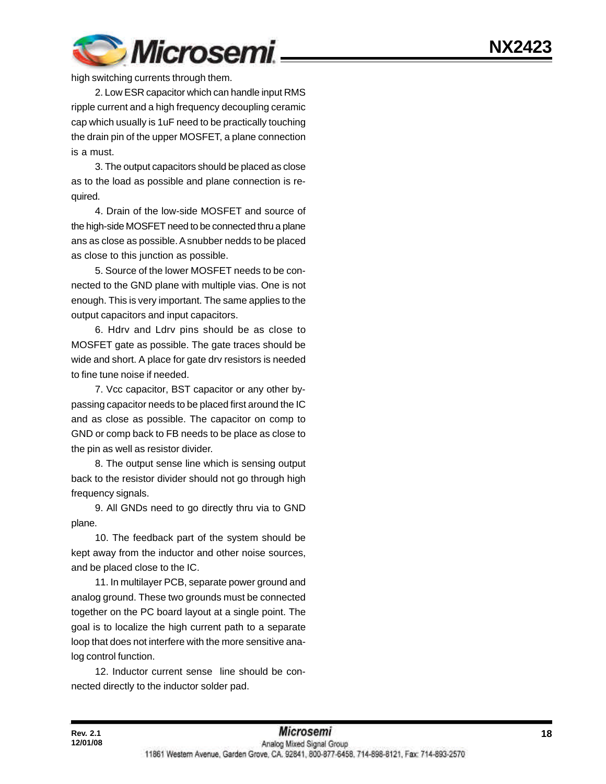

high switching currents through them.

2. Low ESR capacitor which can handle input RMS ripple current and a high frequency decoupling ceramic cap which usually is 1uF need to be practically touching the drain pin of the upper MOSFET, a plane connection is a must.

3. The output capacitors should be placed as close as to the load as possible and plane connection is required.

4. Drain of the low-side MOSFET and source of the high-side MOSFET need to be connected thru a plane ans as close as possible. A snubber nedds to be placed as close to this junction as possible.

5. Source of the lower MOSFET needs to be connected to the GND plane with multiple vias. One is not enough. This is very important. The same applies to the output capacitors and input capacitors.

6. Hdrv and Ldrv pins should be as close to MOSFET gate as possible. The gate traces should be wide and short. A place for gate drv resistors is needed to fine tune noise if needed.

7. Vcc capacitor, BST capacitor or any other bypassing capacitor needs to be placed first around the IC and as close as possible. The capacitor on comp to GND or comp back to FB needs to be place as close to the pin as well as resistor divider.

8. The output sense line which is sensing output back to the resistor divider should not go through high frequency signals.

9. All GNDs need to go directly thru via to GND plane.

10. The feedback part of the system should be kept away from the inductor and other noise sources, and be placed close to the IC.

11. In multilayer PCB, separate power ground and analog ground. These two grounds must be connected together on the PC board layout at a single point. The goal is to localize the high current path to a separate loop that does not interfere with the more sensitive analog control function.

12. Inductor current sense line should be connected directly to the inductor solder pad.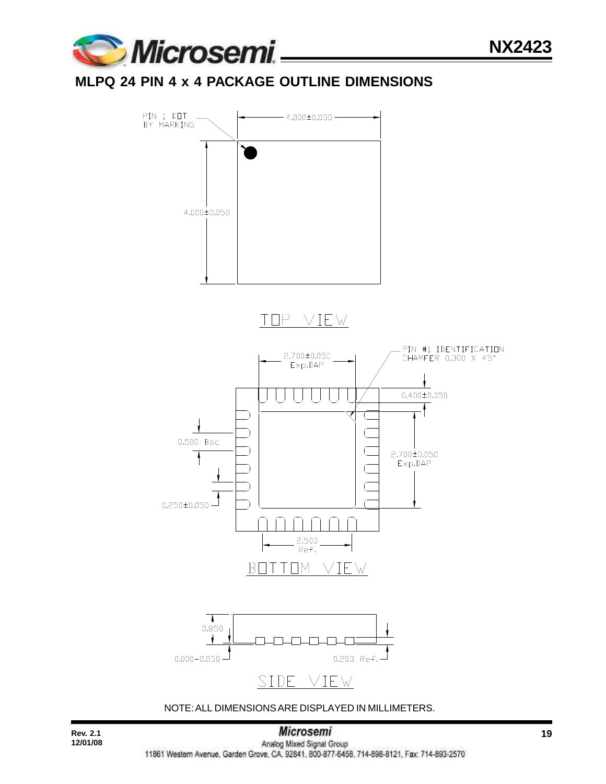

## **MLPQ 24 PIN 4 x 4 PACKAGE OUTLINE DIMENSIONS**



NOTE: ALL DIMENSIONS ARE DISPLAYED IN MILLIMETERS.